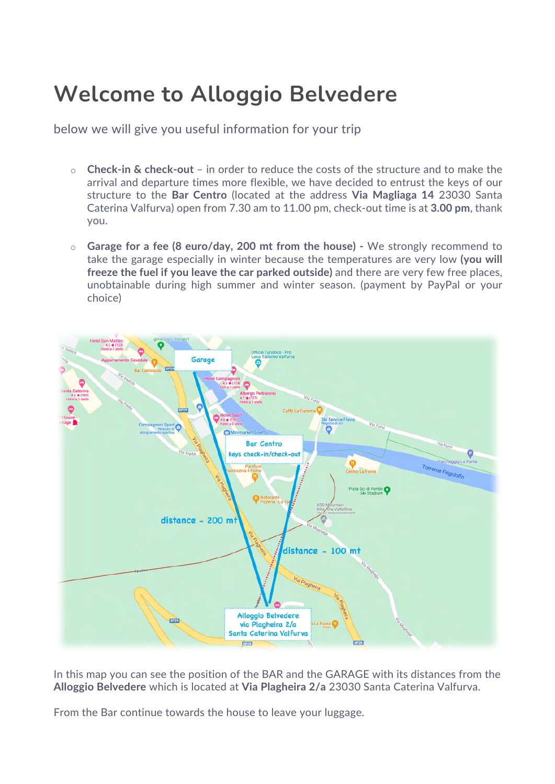## **Welcome to Alloggio Belvedere**

below we will give you useful information for your trip

- o **Check-in & check-out** in order to reduce the costs of the structure and to make the arrival and departure times more flexible, we have decided to entrust the keys of our structure to the **Bar Centro** (located at the address **Via Magliaga 14** 23030 Santa Caterina Valfurva) open from 7.30 am to 11.00 pm, check-out time is at **3.00 pm**, thank you.
- o **Garage for a fee (8 euro/day, 200 mt from the house)** We strongly recommend to take the garage especially in winter because the temperatures are very low **(you will freeze the fuel if you leave the car parked outside)** and there are very few free places, unobtainable during high summer and winter season. (payment by PayPal or your choice)



In this map you can see the position of the BAR and the GARAGE with its distances from the **Alloggio Belvedere** which is located at **Via Plagheira 2/a** 23030 Santa Caterina Valfurva.

From the Bar continue towards the house to leave your luggage.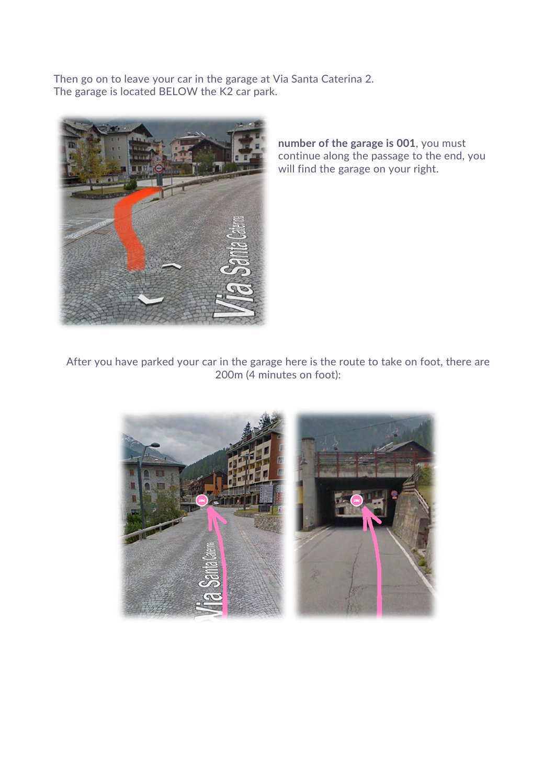Then go on to leave your car in the garage at Via Santa Caterina 2. The garage is located BELOW the K2 car park.



**number of the garage is 001**, you must continue along the passage to the end, you will find the garage on your right.

After you have parked your car in the garage here is the route to take on foot, there are 200m (4 minutes on foot):

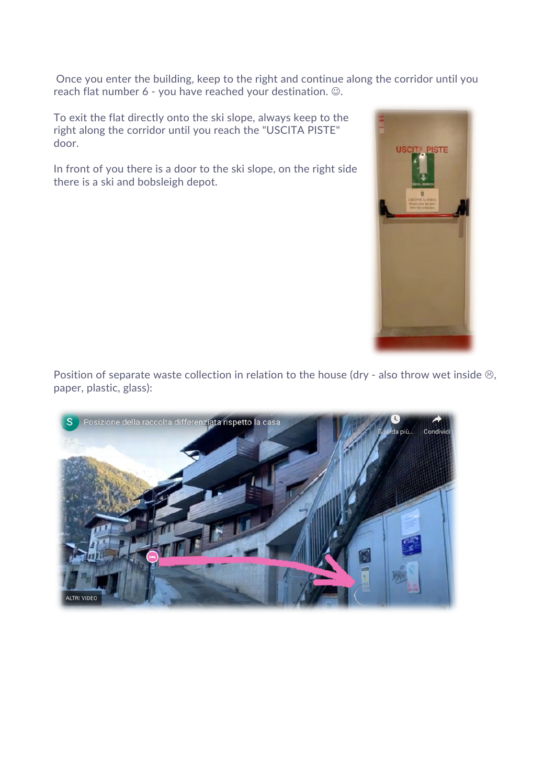Once you enter the building, keep to the right and continue along the corridor until you reach flat number  $6$  - you have reached your destination.  $\odot$ .

To exit the flat directly onto the ski slope, always keep to the right along the corridor until you reach the "USCITA PISTE" door.

In front of you there is a door to the ski slope, on the right side there is a ski and bobsleigh depot.



Position of separate waste collection in relation to the house (dry - also throw wet inside  $\circledcirc$ , paper, plastic, glass):